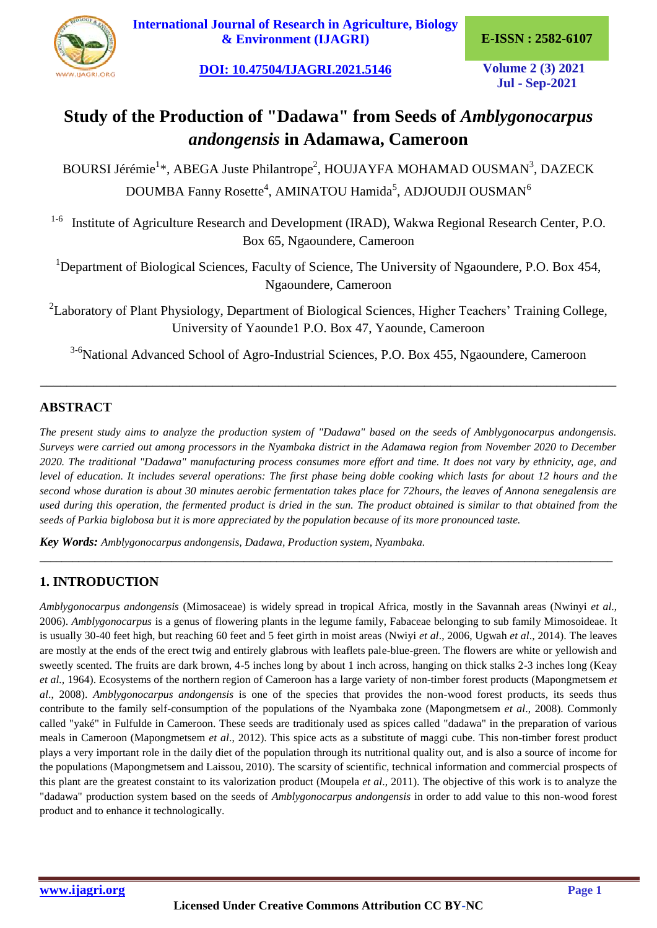

**[International Journal of Research in Agriculture, Biology](https://ijagri.org/index.php/ijagri/about)  [& Environment \(IJAGRI\)](https://ijagri.org/index.php/ijagri/about) E-ISSN : 2582-6107**

**[DOI: 10.47504/IJAGRI.2021.5146](http://doi.org/10.47504/IJAGRI.2021.5146) Volume 2 (3) 2021**

**Jul - Sep-2021**

# **Study of the Production of "Dadawa" from Seeds of** *Amblygonocarpus andongensis* **in Adamawa, Cameroon**

BOURSI Jérémie<sup>1\*</sup>, ABEGA Juste Philantrope<sup>2</sup>, HOUJAYFA MOHAMAD OUSMAN<sup>3</sup>, DAZECK DOUMBA Fanny Rosette<sup>4</sup>, AMINATOU Hamida<sup>5</sup>, ADJOUDJI OUSMAN<sup>6</sup>

<sup>1-6</sup> Institute of Agriculture Research and Development (IRAD), Wakwa Regional Research Center, P.O. Box 65, Ngaoundere, Cameroon

<sup>1</sup>Department of Biological Sciences, Faculty of Science, The University of Ngaoundere, P.O. Box 454, Ngaoundere, Cameroon

<sup>2</sup>Laboratory of Plant Physiology, Department of Biological Sciences, Higher Teachers' Training College, University of Yaounde1 P.O. Box 47, Yaounde, Cameroon

<sup>3-6</sup>National Advanced School of Agro-Industrial Sciences, P.O. Box 455, Ngaoundere, Cameroon

\_\_\_\_\_\_\_\_\_\_\_\_\_\_\_\_\_\_\_\_\_\_\_\_\_\_\_\_\_\_\_\_\_\_\_\_\_\_\_\_\_\_\_\_\_\_\_\_\_\_\_\_\_\_\_\_\_\_\_\_\_\_\_\_\_\_\_\_\_\_\_\_\_\_\_\_\_\_\_\_\_\_\_\_\_\_\_

## **ABSTRACT**

*The present study aims to analyze the production system of "Dadawa" based on the seeds of Amblygonocarpus andongensis. Surveys were carried out among processors in the Nyambaka district in the Adamawa region from November 2020 to December 2020. The traditional "Dadawa" manufacturing process consumes more effort and time. It does not vary by ethnicity, age, and level of education. It includes several operations: The first phase being doble cooking which lasts for about 12 hours and the second whose duration is about 30 minutes aerobic fermentation takes place for 72hours, the leaves of Annona senegalensis are used during this operation, the fermented product is dried in the sun. The product obtained is similar to that obtained from the seeds of Parkia biglobosa but it is more appreciated by the population because of its more pronounced taste.*

*\_\_\_\_\_\_\_\_\_\_\_\_\_\_\_\_\_\_\_\_\_\_\_\_\_\_\_\_\_\_\_\_\_\_\_\_\_\_\_\_\_\_\_\_\_\_\_\_\_\_\_\_\_\_\_\_\_\_\_\_\_\_\_\_\_\_\_\_\_\_\_\_\_\_\_\_\_\_\_\_\_\_\_\_\_\_\_\_\_\_\_\_\_\_\_\_\_\_\_\_\_\_\_\_*

*Key Words: Amblygonocarpus andongensis, Dadawa, Production system, Nyambaka.*

# **1. INTRODUCTION**

*Amblygonocarpus andongensis* (Mimosaceae) is widely spread in tropical Africa, mostly in the Savannah areas (Nwinyi *et al*., 2006). *Amblygonocarpus* is a genus of flowering plants in the legume family, Fabaceae belonging to sub family Mimosoideae. It is usually 30-40 feet high, but reaching 60 feet and 5 feet girth in moist areas (Nwiyi *et al*., 2006, Ugwah *et al*., 2014). The leaves are mostly at the ends of the erect twig and entirely glabrous with leaflets pale-blue-green. The flowers are white or yellowish and sweetly scented. The fruits are dark brown, 4-5 inches long by about 1 inch across, hanging on thick stalks 2-3 inches long (Keay *et al.,* 1964). Ecosystems of the northern region of Cameroon has a large variety of non-timber forest products (Mapongmetsem *et al*., 2008). *Amblygonocarpus andongensis* is one of the species that provides the non-wood forest products, its seeds thus contribute to the family self-consumption of the populations of the Nyambaka zone (Mapongmetsem *et al*., 2008). Commonly called "yaké" in Fulfulde in Cameroon. These seeds are traditionaly used as spices called "dadawa" in the preparation of various meals in Cameroon (Mapongmetsem *et al*., 2012). This spice acts as a substitute of maggi cube. This non-timber forest product plays a very important role in the daily diet of the population through its nutritional quality out, and is also a source of income for the populations (Mapongmetsem and Laissou, 2010). The scarsity of scientific, technical information and commercial prospects of this plant are the greatest constaint to its valorization product (Moupela *et al*., 2011). The objective of this work is to analyze the "dadawa" production system based on the seeds of *Amblygonocarpus andongensis* in order to add value to this non-wood forest product and to enhance it technologically.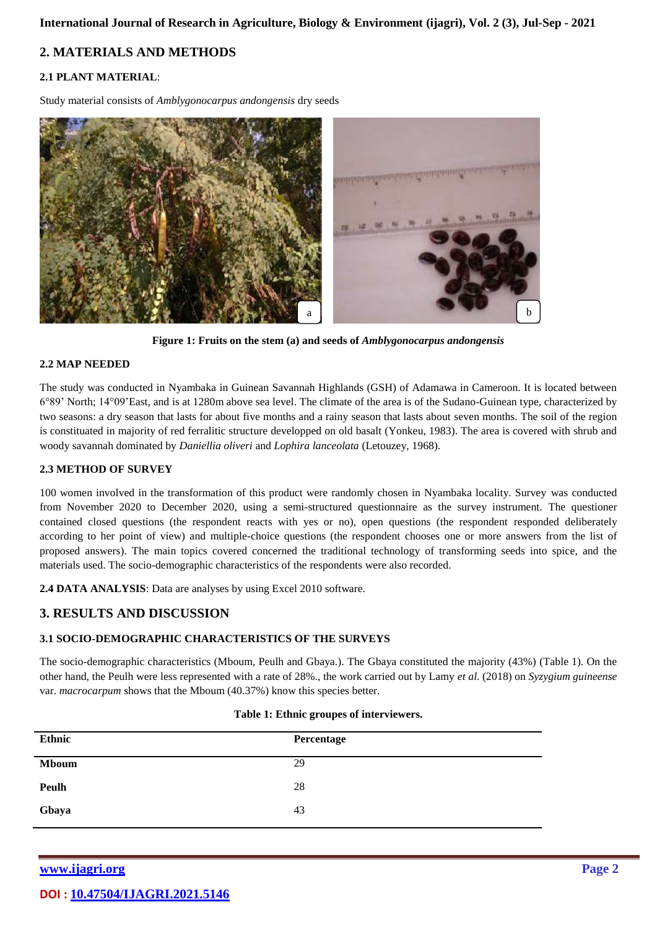## **2. MATERIALS AND METHODS**

#### **2.1 PLANT MATERIAL**:

Study material consists of *Amblygonocarpus andongensis* dry seeds



**Figure 1: Fruits on the stem (a) and seeds of** *Amblygonocarpus andongensis*

#### **2.2 MAP NEEDED**

The study was conducted in Nyambaka in Guinean Savannah Highlands (GSH) of Adamawa in Cameroon. It is located between 6°89' North; 14°09'East, and is at 1280m above sea level. The climate of the area is of the Sudano-Guinean type, characterized by two seasons: a dry season that lasts for about five months and a rainy season that lasts about seven months. The soil of the region is constituated in majority of red ferralitic structure developped on old basalt (Yonkeu, 1983). The area is covered with shrub and woody savannah dominated by *Daniellia oliveri* and *Lophira lanceolata* (Letouzey, 1968).

#### **2.3 METHOD OF SURVEY**

100 women involved in the transformation of this product were randomly chosen in Nyambaka locality. Survey was conducted from November 2020 to December 2020, using a semi-structured questionnaire as the survey instrument. The questioner contained closed questions (the respondent reacts with yes or no), open questions (the respondent responded deliberately according to her point of view) and multiple-choice questions (the respondent chooses one or more answers from the list of proposed answers). The main topics covered concerned the traditional technology of transforming seeds into spice, and the materials used. The socio-demographic characteristics of the respondents were also recorded.

**2.4 DATA ANALYSIS**: Data are analyses by using Excel 2010 software.

#### **3. RESULTS AND DISCUSSION**

#### **3.1 SOCIO-DEMOGRAPHIC CHARACTERISTICS OF THE SURVEYS**

The socio-demographic characteristics (Mboum, Peulh and Gbaya.). The Gbaya constituted the majority (43%) (Table 1). On the other hand, the Peulh were less represented with a rate of 28%., the work carried out by Lamy *et al*. (2018) on *Syzygium guineense*  var. *macrocarpum* shows that the Mboum (40.37%) know this species better.

| Table 1: Ethnic groupes of interviewers. |  |
|------------------------------------------|--|
|                                          |  |

| Ethnic       | Percentage |
|--------------|------------|
| <b>Mboum</b> | 29         |
| <b>Peulh</b> | 28         |
| Gbaya        | 43         |

**[www.ijagri.org](https://ijagri.org/index.php/ijagri/about) Page 2**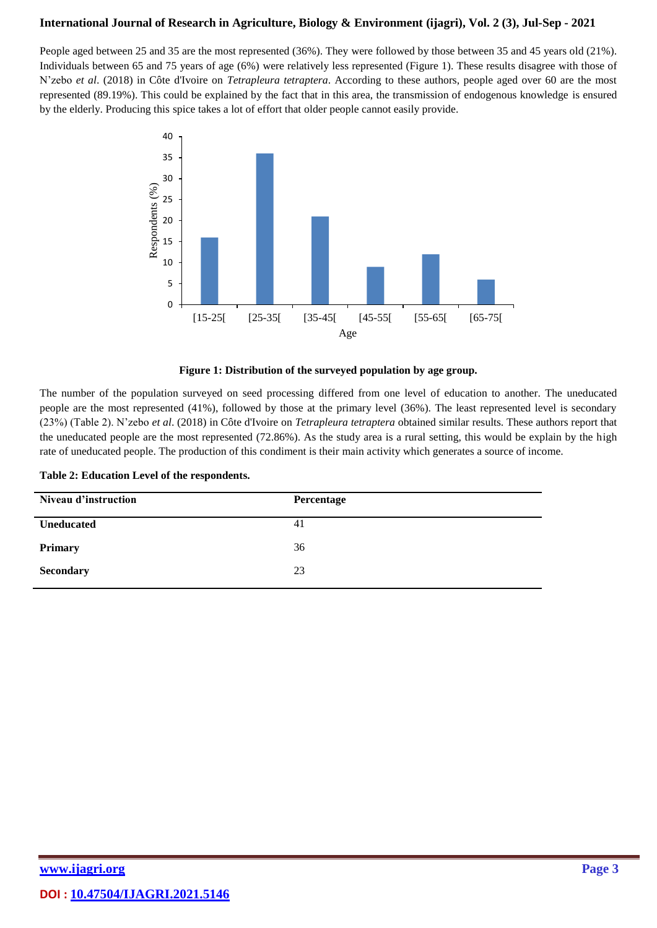People aged between 25 and 35 are the most represented (36%). They were followed by those between 35 and 45 years old (21%). Individuals between 65 and 75 years of age (6%) were relatively less represented (Figure 1). These results disagree with those of N'zebo *et al*. (2018) in Côte d'Ivoire on *Tetrapleura tetraptera*. According to these authors, people aged over 60 are the most represented (89.19%). This could be explained by the fact that in this area, the transmission of endogenous knowledge is ensured by the elderly. Producing this spice takes a lot of effort that older people cannot easily provide.



**Figure 1: Distribution of the surveyed population by age group.**

The number of the population surveyed on seed processing differed from one level of education to another. The uneducated people are the most represented (41%), followed by those at the primary level (36%). The least represented level is secondary (23%) (Table 2). N'zebo *et al*. (2018) in Côte d'Ivoire on *Tetrapleura tetraptera* obtained similar results. These authors report that the uneducated people are the most represented (72.86%). As the study area is a rural setting, this would be explain by the high rate of uneducated people. The production of this condiment is their main activity which generates a source of income.

| Niveau d'instruction | Percentage |
|----------------------|------------|
| <b>Uneducated</b>    | 41         |
| Primary              | 36         |
| <b>Secondary</b>     | 23         |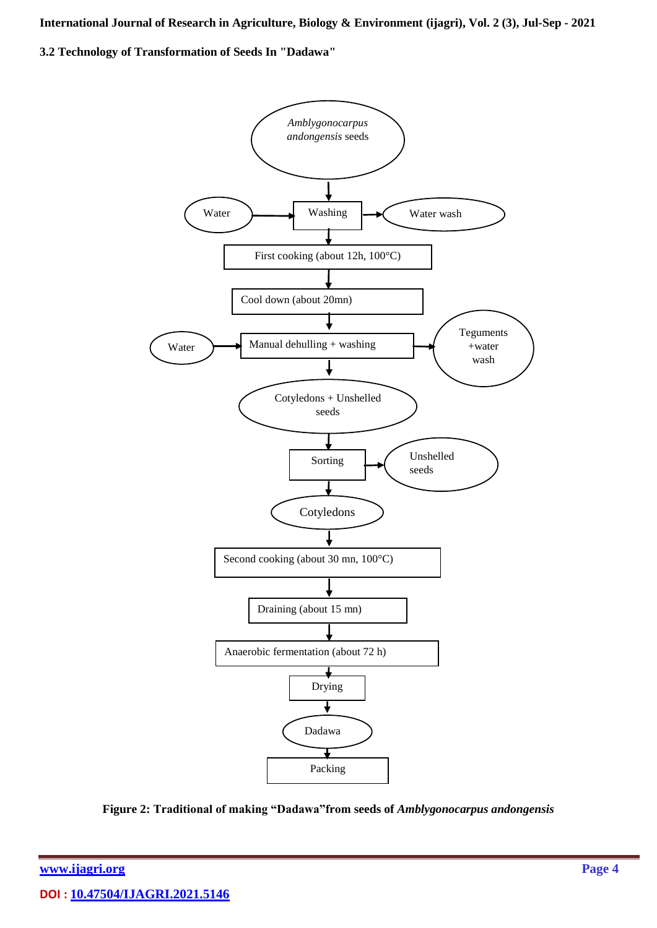**3.2 Technology of Transformation of Seeds In "Dadawa"**



**Figure 2: Traditional of making "Dadawa"from seeds of** *Amblygonocarpus andongensis*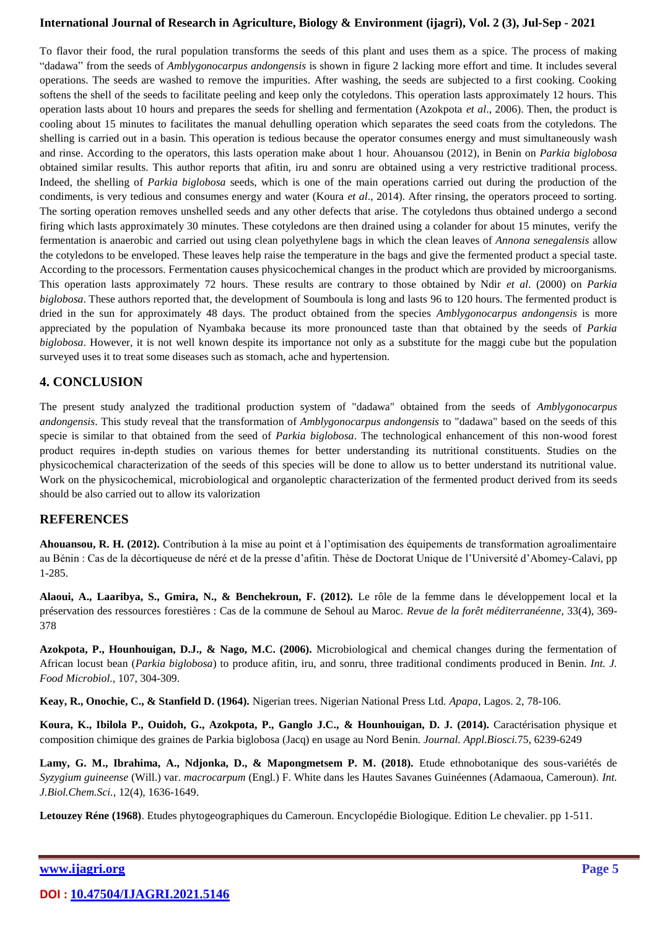To flavor their food, the rural population transforms the seeds of this plant and uses them as a spice. The process of making "dadawa" from the seeds of *Amblygonocarpus andongensis* is shown in figure 2 lacking more effort and time. It includes several operations. The seeds are washed to remove the impurities. After washing, the seeds are subjected to a first cooking. Cooking softens the shell of the seeds to facilitate peeling and keep only the cotyledons. This operation lasts approximately 12 hours. This operation lasts about 10 hours and prepares the seeds for shelling and fermentation (Azokpota *et al*., 2006). Then, the product is cooling about 15 minutes to facilitates the manual dehulling operation which separates the seed coats from the cotyledons. The shelling is carried out in a basin. This operation is tedious because the operator consumes energy and must simultaneously wash and rinse. According to the operators, this lasts operation make about 1 hour. Ahouansou (2012), in Benin on *Parkia biglobosa* obtained similar results. This author reports that afitin, iru and sonru are obtained using a very restrictive traditional process. Indeed, the shelling of *Parkia biglobosa* seeds, which is one of the main operations carried out during the production of the condiments, is very tedious and consumes energy and water (Koura *et al*., 2014). After rinsing, the operators proceed to sorting. The sorting operation removes unshelled seeds and any other defects that arise. The cotyledons thus obtained undergo a second firing which lasts approximately 30 minutes. These cotyledons are then drained using a colander for about 15 minutes, verify the fermentation is anaerobic and carried out using clean polyethylene bags in which the clean leaves of *Annona senegalensis* allow the cotyledons to be enveloped. These leaves help raise the temperature in the bags and give the fermented product a special taste. According to the processors. Fermentation causes physicochemical changes in the product which are provided by microorganisms. This operation lasts approximately 72 hours. These results are contrary to those obtained by Ndir *et al*. (2000) on *Parkia biglobosa*. These authors reported that, the development of Soumboula is long and lasts 96 to 120 hours. The fermented product is dried in the sun for approximately 48 days. The product obtained from the species *Amblygonocarpus andongensis* is more appreciated by the population of Nyambaka because its more pronounced taste than that obtained by the seeds of *Parkia biglobosa*. However, it is not well known despite its importance not only as a substitute for the maggi cube but the population surveyed uses it to treat some diseases such as stomach, ache and hypertension.

#### **4. CONCLUSION**

The present study analyzed the traditional production system of "dadawa" obtained from the seeds of *Amblygonocarpus andongensis*. This study reveal that the transformation of *Amblygonocarpus andongensis* to "dadawa" based on the seeds of this specie is similar to that obtained from the seed of *Parkia biglobosa*. The technological enhancement of this non-wood forest product requires in-depth studies on various themes for better understanding its nutritional constituents. Studies on the physicochemical characterization of the seeds of this species will be done to allow us to better understand its nutritional value. Work on the physicochemical, microbiological and organoleptic characterization of the fermented product derived from its seeds should be also carried out to allow its valorization

#### **REFERENCES**

**Ahouansou, R. H. (2012).** Contribution à la mise au point et à l'optimisation des équipements de transformation agroalimentaire au Bénin : Cas de la décortiqueuse de néré et de la presse d'afitin. Thèse de Doctorat Unique de l'Université d'Abomey-Calavi, pp 1-285.

**Alaoui, A., Laaribya, S., Gmira, N., & Benchekroun, F. (2012).** Le rôle de la femme dans le développement local et la préservation des ressources forestières : Cas de la commune de Sehoul au Maroc. *Revue de la forêt méditerranéenne,* 33(4), 369- 378

**Azokpota, P., Hounhouigan, D.J., & Nago, M.C. (2006).** Microbiological and chemical changes during the fermentation of African locust bean (*Parkia biglobosa*) to produce afitin, iru, and sonru, three traditional condiments produced in Benin. *Int. J. Food Microbiol.,* 107, 304-309.

**Keay, R., Onochie, C., & Stanfield D. (1964).** Nigerian trees. Nigerian National Press Ltd. *Apapa*, Lagos. 2, 78-106.

**Koura, K., Ibilola P., Ouidoh, G., Azokpota, P., Ganglo J.C., & Hounhouigan, D. J. (2014).** Caractérisation physique et composition chimique des graines de Parkia biglobosa (Jacq) en usage au Nord Benin. *Journal. Appl.Biosci.*75, 6239-6249

Lamy, G. M., Ibrahima, A., Ndjonka, D., & Mapongmetsem P. M. (2018). Etude ethnobotanique des sous-variétés de *Syzygium guineense* (Will.) var. *macrocarpum* (Engl.) F. White dans les Hautes Savanes Guinéennes (Adamaoua, Cameroun). *Int. J.Biol.Chem.Sci.,* 12(4), 1636-1649.

**Letouzey Réne (1968)**. Etudes phytogeographiques du Cameroun. Encyclopédie Biologique. Edition Le chevalier. pp 1-511.

#### **[www.ijagri.org](https://ijagri.org/index.php/ijagri/about) Page 5**

**DOI : [10.47504/IJAGRI.2021.5146](http://doi.org/10.47504/IJAGRI.2021.5146)**